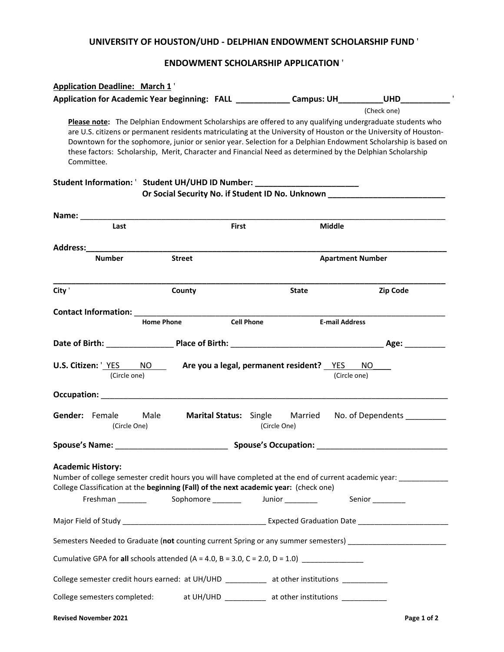## **UNIVERSITY OF HOUSTON/UHD - DELPHIAN ENDOWMENT SCHOLARSHIP FUND** '

# **ENDOWMENT SCHOLARSHIP APPLICATION** '

| <b>Application Deadline: March 1'</b>                                                                             |                                        |                                                       |                                                                                                                                                                                                                                                                                                                                                                                                                                                                             |
|-------------------------------------------------------------------------------------------------------------------|----------------------------------------|-------------------------------------------------------|-----------------------------------------------------------------------------------------------------------------------------------------------------------------------------------------------------------------------------------------------------------------------------------------------------------------------------------------------------------------------------------------------------------------------------------------------------------------------------|
|                                                                                                                   |                                        |                                                       | Application for Academic Year beginning: FALL Campus: UH UHD                                                                                                                                                                                                                                                                                                                                                                                                                |
| Committee.                                                                                                        |                                        |                                                       | (Check one)<br>Please note: The Delphian Endowment Scholarships are offered to any qualifying undergraduate students who<br>are U.S. citizens or permanent residents matriculating at the University of Houston or the University of Houston-<br>Downtown for the sophomore, junior or senior year. Selection for a Delphian Endowment Scholarship is based on<br>these factors: Scholarship, Merit, Character and Financial Need as determined by the Delphian Scholarship |
| Student Information: ' Student UH/UHD ID Number: _________________________                                        |                                        |                                                       | Or Social Security No. if Student ID No. Unknown _______________________________                                                                                                                                                                                                                                                                                                                                                                                            |
| Name: ___________                                                                                                 |                                        |                                                       |                                                                                                                                                                                                                                                                                                                                                                                                                                                                             |
| Last                                                                                                              | <b>First</b>                           |                                                       | <b>Middle</b>                                                                                                                                                                                                                                                                                                                                                                                                                                                               |
| Address: Andreas Address:                                                                                         |                                        |                                                       |                                                                                                                                                                                                                                                                                                                                                                                                                                                                             |
| <b>Number</b>                                                                                                     | <b>Street</b>                          |                                                       | <b>Apartment Number</b>                                                                                                                                                                                                                                                                                                                                                                                                                                                     |
| City '                                                                                                            | County                                 | <b>State</b>                                          | Zip Code                                                                                                                                                                                                                                                                                                                                                                                                                                                                    |
| <b>Contact Information:</b> The contract information:                                                             | <b>Home Phone</b><br><b>Cell Phone</b> |                                                       | <b>E-mail Address</b>                                                                                                                                                                                                                                                                                                                                                                                                                                                       |
|                                                                                                                   |                                        |                                                       |                                                                                                                                                                                                                                                                                                                                                                                                                                                                             |
| U.S. Citizen: <u>'YES</u> NO __ Are you a legal, permanent resident? YES NO<br>(Circle one)                       |                                        |                                                       | (Circle one)                                                                                                                                                                                                                                                                                                                                                                                                                                                                |
| Occupation: New York Products and American Section 2014                                                           |                                        |                                                       |                                                                                                                                                                                                                                                                                                                                                                                                                                                                             |
| Gender: Female Male<br>(Circle One)                                                                               |                                        | <b>Marital Status:</b> Single Married<br>(Circle One) | No. of Dependents ________                                                                                                                                                                                                                                                                                                                                                                                                                                                  |
| Spouse's Name: Spouse's Occupation: Spouse's Occupation:                                                          |                                        |                                                       |                                                                                                                                                                                                                                                                                                                                                                                                                                                                             |
| <b>Academic History:</b><br>College Classification at the beginning (Fall) of the next academic year: (check one) |                                        |                                                       | Number of college semester credit hours you will have completed at the end of current academic year: _________<br>Senior__________                                                                                                                                                                                                                                                                                                                                          |
|                                                                                                                   |                                        |                                                       |                                                                                                                                                                                                                                                                                                                                                                                                                                                                             |
|                                                                                                                   |                                        |                                                       | Semesters Needed to Graduate (not counting current Spring or any summer semesters) __________________________                                                                                                                                                                                                                                                                                                                                                               |
| Cumulative GPA for all schools attended $(A = 4.0, B = 3.0, C = 2.0, D = 1.0)$                                    |                                        |                                                       |                                                                                                                                                                                                                                                                                                                                                                                                                                                                             |
| College semester credit hours earned: at UH/UHD __________ at other institutions ___________                      |                                        |                                                       |                                                                                                                                                                                                                                                                                                                                                                                                                                                                             |
| College semesters completed: at UH/UHD __________ at other institutions _________                                 |                                        |                                                       |                                                                                                                                                                                                                                                                                                                                                                                                                                                                             |